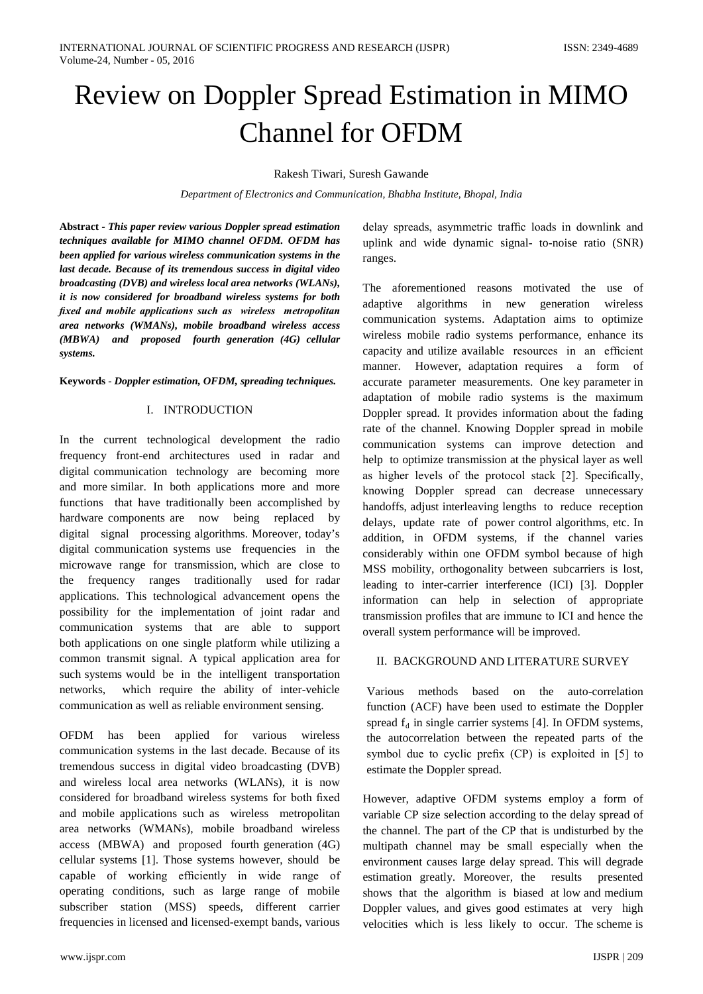# Review on Doppler Spread Estimation in MIMO Channel for OFDM

Rakesh Tiwari, Suresh Gawande

*Department of Electronics and Communication, Bhabha Institute, Bhopal, India* 

**Abstract** *- This paper review various Doppler spread estimation techniques available for MIMO channel OFDM. OFDM has been applied for various wireless communication systems in the last decade. Because of its tremendous success in digital video broadcasting (DVB) and wireless local area networks (WLANs), it is now considered for broadband wireless systems for both fixed and mobile applications such as wireless metropolitan area networks (WMANs), mobile broadband wireless access (MBWA) and proposed fourth generation (4G) cellular systems.*

**Keywords** *- Doppler estimation, OFDM, spreading techniques.*

#### I. INTRODUCTION

In the current technological development the radio frequency front-end architectures used in radar and digital communication technology are becoming more and more similar. In both applications more and more functions that have traditionally been accomplished by hardware components are now being replaced by digital signal processing algorithms. Moreover, today's digital communication systems use frequencies in the microwave range for transmission, which are close to the frequency ranges traditionally used for radar applications. This technological advancement opens the possibility for the implementation of joint radar and communication systems that are able to support both applications on one single platform while utilizing a common transmit signal. A typical application area for such systems would be in the intelligent transportation networks, which require the ability of inter-vehicle communication as well as reliable environment sensing.

OFDM has been applied for various wireless communication systems in the last decade. Because of its tremendous success in digital video broadcasting (DVB) and wireless local area networks (WLANs), it is now considered for broadband wireless systems for both fixed and mobile applications such as wireless metropolitan area networks (WMANs), mobile broadband wireless access (MBWA) and proposed fourth generation (4G) cellular systems [1]. Those systems however, should be capable of working efficiently in wide range of operating conditions, such as large range of mobile subscriber station (MSS) speeds, different carrier frequencies in licensed and licensed-exempt bands, various

delay spreads, asymmetric traffic loads in downlink and uplink and wide dynamic signal- to-noise ratio (SNR) ranges.

The aforementioned reasons motivated the use of adaptive algorithms in new generation wireless communication systems. Adaptation aims to optimize wireless mobile radio systems performance, enhance its capacity and utilize available resources in an efficient manner. However, adaptation requires a form of accurate parameter measurements. One key parameter in adaptation of mobile radio systems is the maximum Doppler spread. It provides information about the fading rate of the channel. Knowing Doppler spread in mobile communication systems can improve detection and help to optimize transmission at the physical layer as well as higher levels of the protocol stack [2]. Specifically, knowing Doppler spread can decrease unnecessary handoffs, adjust interleaving lengths to reduce reception delays, update rate of power control algorithms, etc. In addition, in OFDM systems, if the channel varies considerably within one OFDM symbol because of high MSS mobility, orthogonality between subcarriers is lost, leading to inter-carrier interference (ICI) [3]. Doppler information can help in selection of appropriate transmission profiles that are immune to ICI and hence the overall system performance will be improved.

## II. BACKGROUND AND LITERATURE SURVEY

Various methods based on the auto-correlation function (ACF) have been used to estimate the Doppler spread  $f_d$  in single carrier systems [4]. In OFDM systems, the autocorrelation between the repeated parts of the symbol due to cyclic prefix (CP) is exploited in [5] to estimate the Doppler spread.

However, adaptive OFDM systems employ a form of variable CP size selection according to the delay spread of the channel. The part of the CP that is undisturbed by the multipath channel may be small especially when the environment causes large delay spread. This will degrade estimation greatly. Moreover, the results presented shows that the algorithm is biased at low and medium Doppler values, and gives good estimates at very high velocities which is less likely to occur. The scheme is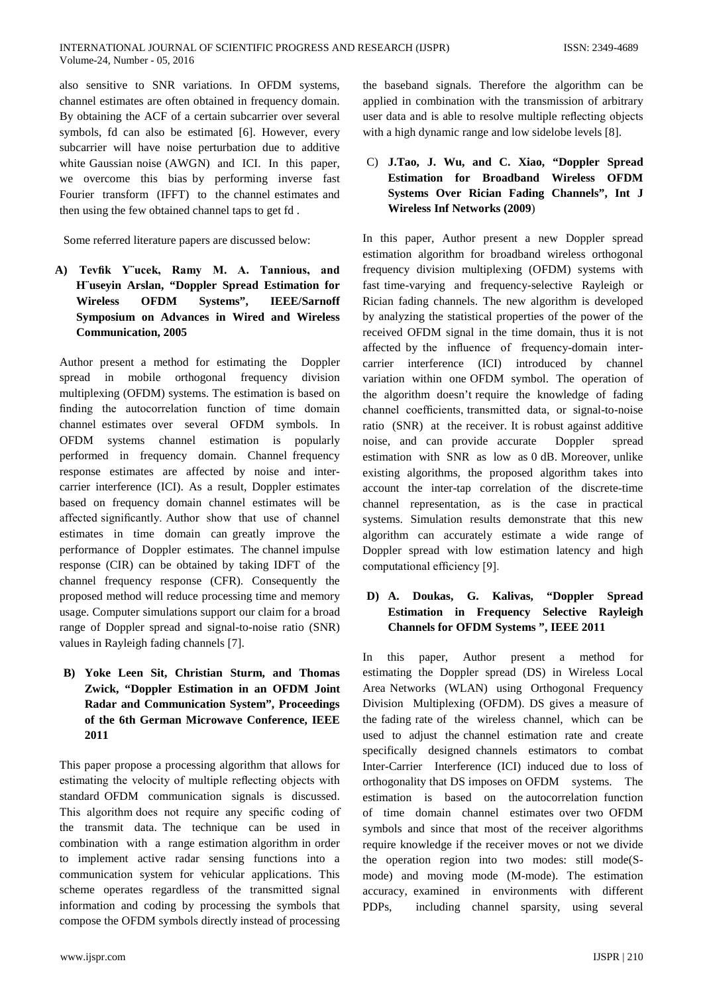also sensitive to SNR variations. In OFDM systems, channel estimates are often obtained in frequency domain. By obtaining the ACF of a certain subcarrier over several symbols, fd can also be estimated [6]. However, every subcarrier will have noise perturbation due to additive white Gaussian noise (AWGN) and ICI. In this paper, we overcome this bias by performing inverse fast Fourier transform (IFFT) to the channel estimates and then using the few obtained channel taps to get fd .

Some referred literature papers are discussed below:

**A) Tevfik Y¨ucek, Ramy M. A. Tannious, and H¨useyin Arslan, "Doppler Spread Estimation for Wireless OFDM Systems", IEEE/Sarnoff Symposium on [Advances in Wired and Wireless](http://ieeexplore.ieee.org/xpl/mostRecentIssue.jsp?punumber=9765)  [Communication, 2005](http://ieeexplore.ieee.org/xpl/mostRecentIssue.jsp?punumber=9765)** 

Author present a method for estimating the Doppler spread in mobile orthogonal frequency division multiplexing (OFDM) systems. The estimation is based on finding the autocorrelation function of time domain channel estimates over several OFDM symbols. In OFDM systems channel estimation is popularly performed in frequency domain. Channel frequency response estimates are affected by noise and intercarrier interference (ICI). As a result, Doppler estimates based on frequency domain channel estimates will be affected significantly. Author show that use of channel estimates in time domain can greatly improve the performance of Doppler estimates. The channel impulse response (CIR) can be obtained by taking IDFT of the channel frequency response (CFR). Consequently the proposed method will reduce processing time and memory usage. Computer simulations support our claim for a broad range of Doppler spread and signal-to-noise ratio (SNR) values in Rayleigh fading channels [7].

**B) Yoke Leen Sit, Christian Sturm, and Thomas Zwick, "Doppler Estimation in an OFDM Joint Radar and Communication System", Proceedings of the 6th German Microwave Conference, IEEE 2011**

This paper propose a processing algorithm that allows for estimating the velocity of multiple reflecting objects with standard OFDM communication signals is discussed. This algorithm does not require any specific coding of the transmit data. The technique can be used in combination with a range estimation algorithm in order to implement active radar sensing functions into a communication system for vehicular applications. This scheme operates regardless of the transmitted signal information and coding by processing the symbols that compose the OFDM symbols directly instead of processing

the baseband signals. Therefore the algorithm can be applied in combination with the transmission of arbitrary user data and is able to resolve multiple reflecting objects with a high dynamic range and low sidelobe levels [8].

# C) **J.Tao, J. Wu, and C. Xiao, "Doppler Spread Estimation for Broadband Wireless OFDM Systems Over Rician Fading Channels", Int J Wireless Inf Networks (2009**)

In this paper, Author present a new Doppler spread estimation algorithm for broadband wireless orthogonal frequency division multiplexing (OFDM) systems with fast time-varying and frequency-selective Rayleigh or Rician fading channels. The new algorithm is developed by analyzing the statistical properties of the power of the received OFDM signal in the time domain, thus it is not affected by the influence of frequency-domain intercarrier interference (ICI) introduced by channel variation within one OFDM symbol. The operation of the algorithm doesn't require the knowledge of fading channel coefficients, transmitted data, or signal-to-noise ratio (SNR) at the receiver. It is robust against additive noise, and can provide accurate Doppler spread estimation with SNR as low as 0 dB. Moreover, unlike existing algorithms, the proposed algorithm takes into account the inter-tap correlation of the discrete-time channel representation, as is the case in practical systems. Simulation results demonstrate that this new algorithm can accurately estimate a wide range of Doppler spread with low estimation latency and high computational efficiency [9].

# **D) A. Doukas, G. Kalivas, "Doppler Spread Estimation in Frequency Selective Rayleigh Channels for OFDM Systems ", IEEE 2011**

In this paper, Author present a method for estimating the Doppler spread (DS) in Wireless Local Area Networks (WLAN) using Orthogonal Frequency Division Multiplexing (OFDM). DS gives a measure of the fading rate of the wireless channel, which can be used to adjust the channel estimation rate and create specifically designed channels estimators to combat Inter-Carrier Interference (ICI) induced due to loss of orthogonality that DS imposes on OFDM systems. The estimation is based on the autocorrelation function of time domain channel estimates over two OFDM symbols and since that most of the receiver algorithms require knowledge if the receiver moves or not we divide the operation region into two modes: still mode(Smode) and moving mode (M-mode). The estimation accuracy, examined in environments with different PDPs, including channel sparsity, using several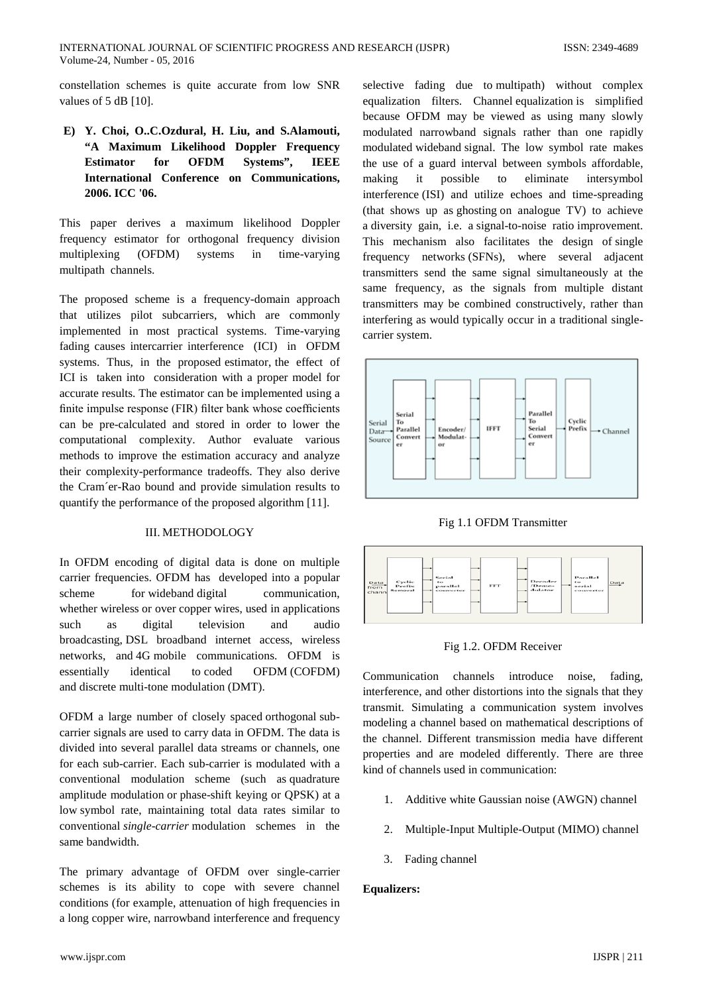constellation schemes is quite accurate from low SNR values of 5 dB [10].

**E) Y. Choi, O..C.Ozdural, H. Liu, and S.Alamouti, "A Maximum Likelihood Doppler Frequency Estimator for OFDM Systems", IEEE International Conference on [Communications,](http://ieeexplore.ieee.org/xpl/mostRecentIssue.jsp?punumber=4024074)  [2006. ICC '06.](http://ieeexplore.ieee.org/xpl/mostRecentIssue.jsp?punumber=4024074)** 

This paper derives a maximum likelihood Doppler frequency estimator for orthogonal frequency division multiplexing (OFDM) systems in time-varying multipath channels.

The proposed scheme is a frequency-domain approach that utilizes pilot subcarriers, which are commonly implemented in most practical systems. Time-varying fading causes intercarrier interference (ICI) in OFDM systems. Thus, in the proposed estimator, the effect of ICI is taken into consideration with a proper model for accurate results. The estimator can be implemented using a finite impulse response (FIR) filter bank whose coefficients can be pre-calculated and stored in order to lower the computational complexity. Author evaluate various methods to improve the estimation accuracy and analyze their complexity-performance tradeoffs. They also derive the Cram´er-Rao bound and provide simulation results to quantify the performance of the proposed algorithm [11].

## III. METHODOLOGY

In OFDM encoding of digital data is done on multiple carrier frequencies. OFDM has developed into a popular scheme for [wideband](http://en.wikipedia.org/wiki/Wideband) digital communication, whether [wireless](http://en.wikipedia.org/wiki/Wireless) or over [copper](http://en.wikipedia.org/wiki/Copper) wires, used in applications such as digital television and audio broadcasting, [DSL](http://en.wikipedia.org/wiki/DSL) [broadband internet access,](http://en.wikipedia.org/wiki/Broadband_internet_access) wireless networks, and [4G](http://en.wikipedia.org/wiki/4G) mobile communications. OFDM is essentially identical to coded OFDM (COFDM) and discrete multi-tone modulation (DMT).

OFDM a large number of closely spaced [orthogonal](http://en.wikipedia.org/wiki/Orthogonality%23Communications) [sub](http://en.wikipedia.org/wiki/Subcarrier)[carrier signals](http://en.wikipedia.org/wiki/Subcarrier) are used to carry [data](http://en.wikipedia.org/wiki/Data) in OFDM. The data is divided into several parallel data streams or channels, one for each sub-carrier. Each sub-carrier is modulated with a conventional modulation scheme (such as [quadrature](http://en.wikipedia.org/wiki/Quadrature_amplitude_modulation)  [amplitude modulation](http://en.wikipedia.org/wiki/Quadrature_amplitude_modulation) or [phase-shift keying](http://en.wikipedia.org/wiki/Phase-shift_keying) or QPSK) at a low [symbol rate,](http://en.wikipedia.org/wiki/Symbol_rate) maintaining total data rates similar to conventional *single-carrier* modulation schemes in the same bandwidth.

The primary advantage of OFDM over single-carrier schemes is its ability to cope with severe [channel](http://en.wikipedia.org/wiki/Channel_(communications)) conditions (for example, [attenuation](http://en.wikipedia.org/wiki/Attenuation_distortion) of high frequencies in a long copper wire, narrowband [interference](http://en.wikipedia.org/wiki/Interference_(communication)) and frequency

selective [fading](http://en.wikipedia.org/wiki/Fading) due to [multipath\)](http://en.wikipedia.org/wiki/Multipath_propagation) without complex equalization filters. Channel [equalization](http://en.wikipedia.org/wiki/Equalization) is simplified because OFDM may be viewed as using many slowly modulated [narrowband](http://en.wikipedia.org/wiki/Narrowband) signals rather than one rapidly modulated [wideband](http://en.wikipedia.org/wiki/Wideband) signal. The low symbol rate makes the use of a [guard interval](http://en.wikipedia.org/wiki/Guard_interval) between symbols affordable, making it possible to eliminate [intersymbol](http://en.wikipedia.org/wiki/Intersymbol_interference) [interference](http://en.wikipedia.org/wiki/Intersymbol_interference) (ISI) and utilize echoes and time-spreading (that shows up as [ghosting](http://en.wikipedia.org/wiki/Ghosting_(television)) on analogue TV) to achieve a [diversity gain,](http://en.wikipedia.org/wiki/Diversity_gain) i.e. a [signal-to-noise ratio](http://en.wikipedia.org/wiki/Signal-to-noise_ratio) improvement. This mechanism also facilitates the design of [single](http://en.wikipedia.org/wiki/Single_frequency_network)  [frequency networks](http://en.wikipedia.org/wiki/Single_frequency_network) (SFNs), where several adjacent transmitters send the same signal simultaneously at the same frequency, as the signals from multiple distant transmitters may be combined constructively, rather than interfering as would typically occur in a traditional singlecarrier system.







Fig 1.2. OFDM Receiver

Communication channels introduce noise, fading, interference, and other distortions into the signals that they transmit. Simulating a communication system involves modeling a channel based on mathematical descriptions of the channel. Different transmission media have different properties and are modeled differently. There are three kind of channels used in communication:

- 1. Additive white Gaussian noise (AWGN) channel
- 2. Multiple-Input Multiple-Output (MIMO) channel
- 3. Fading channel

## **Equalizers:**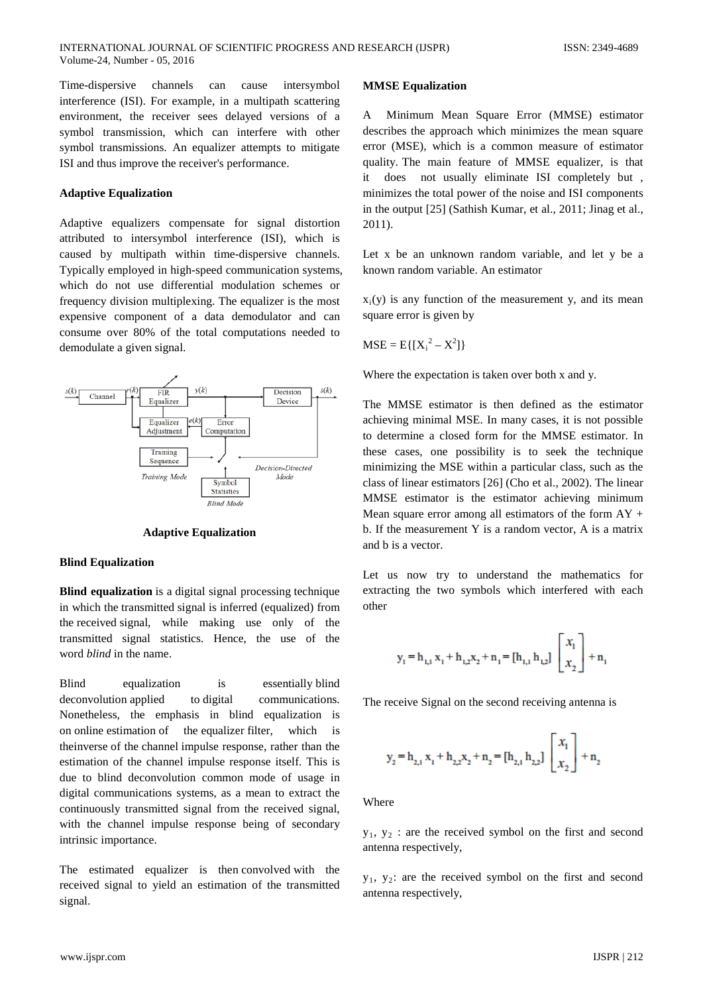Time-dispersive channels can cause intersymbol interference (ISI). For example, in a multipath scattering environment, the receiver sees delayed versions of a symbol transmission, which can interfere with other symbol transmissions. An equalizer attempts to mitigate ISI and thus improve the receiver's performance.

## **Adaptive Equalization**

Adaptive equalizers compensate for signal distortion attributed to intersymbol interference (ISI), which is caused by multipath within time-dispersive channels. Typically employed in high-speed communication systems, which do not use differential modulation schemes or frequency division multiplexing. The equalizer is the most expensive component of a data demodulator and can consume over 80% of the total computations needed to demodulate a given signal.



**Adaptive Equalization**

#### **Blind Equalization**

**Blind equalization** is a [digital signal processing](http://en.wikipedia.org/wiki/Digital_signal_processing) technique in which the [transmitted](http://en.wikipedia.org/wiki/Transmitter) [signal](http://en.wikipedia.org/wiki/Signal_(electrical_engineering)) is inferred [\(equalized\)](http://en.wikipedia.org/wiki/Equalizer_(communications)) from the [received](http://en.wikipedia.org/wiki/Receiver_(information_theory)) signal, while making use only of the transmitted signal statistics. Hence, the use of the word *blind* in the name.

Blind equalization is essentially [blind](http://en.wikipedia.org/wiki/Blind_deconvolution)  [deconvolution](http://en.wikipedia.org/wiki/Blind_deconvolution) applied to digital communications. Nonetheless, the emphasis in blind equalization is on [online](http://en.wikipedia.org/wiki/Online_algorithm) [estimation](http://en.wikipedia.org/wiki/Estimation) of the [equalizer](http://en.wikipedia.org/wiki/Equalization_filter) [filter,](http://en.wikipedia.org/wiki/Signal_processing) which is th[einverse](http://en.wikipedia.org/wiki/Inverse_filter%23Inverse_system) of the [channel](http://en.wikipedia.org/wiki/Channel_(communications)) [impulse response,](http://en.wikipedia.org/wiki/Impulse_response) rather than the estimation of the channel impulse response itself. This is due to blind deconvolution common mode of usage in digital communications systems, as a mean to extract the continuously transmitted signal from the received signal, with the channel impulse response being of secondary intrinsic importance.

The estimated equalizer is then [convolved](http://en.wikipedia.org/wiki/Convolution) with the received signal to yield an estimation of the transmitted signal.

#### **MMSE Equalization**

A Minimum Mean Square Error (MMSE) estimator describes the approach which minimizes the mean square error (MSE), which is a common measure of estimator quality. The main feature of MMSE equalizer, is that it does not usually eliminate ISI completely but , minimizes the total power of the noise and ISI components in the output [25] (Sathish Kumar, et al., 2011; Jinag et al., 2011).

Let x be an unknown random variable, and let y be a known random variable. An estimator

 $x_i(y)$  is any function of the measurement y, and its mean square error is given by

$$
MSE = E\{[X_i^2 - X^2]\}
$$

Where the expectation is taken over both x and y.

The MMSE estimator is then defined as the estimator achieving minimal MSE. In many cases, it is not possible to determine a closed form for the MMSE estimator. In these cases, one possibility is to seek the technique minimizing the MSE within a particular class, such as the class of linear estimators [26] (Cho et al., 2002). The linear MMSE estimator is the estimator achieving minimum Mean square error among all estimators of the form  $AY +$ b. If the measurement Y is a random vector, A is a matrix and b is a vector.

Let us now try to understand the mathematics for extracting the two symbols which interfered with each other

$$
y_1 = h_{1,1} x_1 + h_{1,2} x_2 + n_1 = [h_{1,1} h_{1,2}] \begin{bmatrix} x_1 \\ x_2 \end{bmatrix} + n_1
$$

The receive Signal on the second receiving antenna is

$$
y_2 = h_{2,1} x_1 + h_{2,2} x_2 + n_2 = [h_{2,1} h_{2,2}] \begin{bmatrix} x_1 \\ x_2 \end{bmatrix} + n_2
$$

Where

 $y_1, y_2$ : are the received symbol on the first and second antenna respectively,

 $y_1$ ,  $y_2$ : are the received symbol on the first and second antenna respectively,